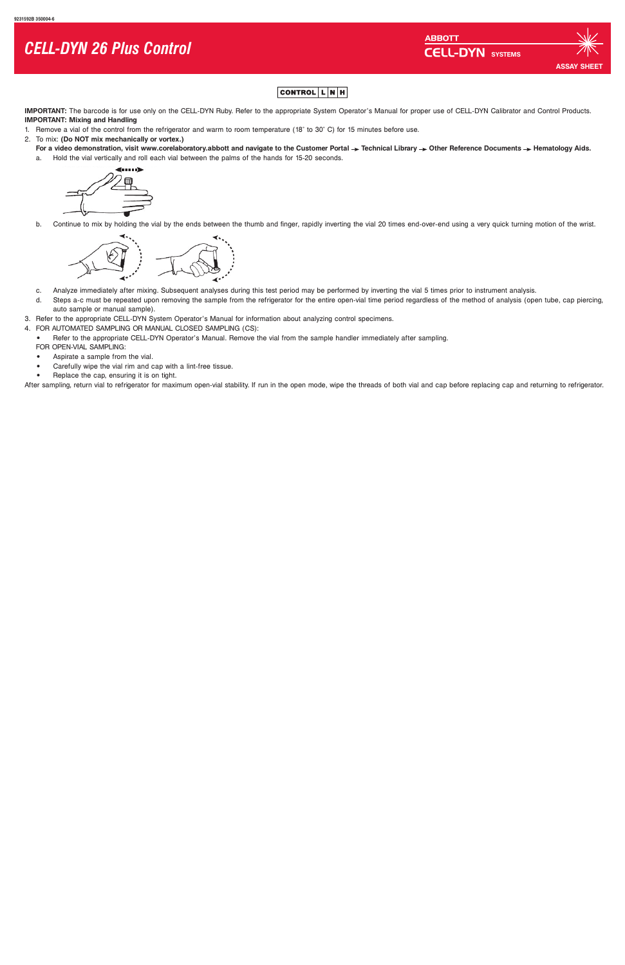**IMPORTANT:** The barcode is for use only on the CELL-DYN Ruby. Refer to the appropriate System Operator's Manual for proper use of CELL-DYN Calibrator and Control Products. **IMPORTANT: Mixing and Handling**

- 1. Remove a vial of the control from the refrigerator and warm to room temperature (18° to 30° C) for 15 minutes before use.
- 2. To mix: **(Do NOT mix mechanically or vortex.)**
	- For a video demonstration, visit www.corelaboratory.abbott and navigate to the Customer Portal  $\rightarrow$  Technical Library  $\rightarrow$  Other Reference Documents  $\rightarrow$  Hematology Aids. a. Hold the vial vertically and roll each vial between the palms of the hands for 15-20 seconds.



b. Continue to mix by holding the vial by the ends between the thumb and finger, rapidly inverting the vial 20 times end-over-end using a very quick turning motion of the wrist.



- c. Analyze immediately after mixing. Subsequent analyses during this test period may be performed by inverting the vial 5 times prior to instrument analysis.
- d. Steps a-c must be repeated upon removing the sample from the refrigerator for the entire open-vial time period regardless of the method of analysis (open tube, cap piercing, auto sample or manual sample).
- 3. Refer to the appropriate CELL-DYN System Operator's Manual for information about analyzing control specimens.
- 4. FOR AUTOMATED SAMPLING OR MANUAL CLOSED SAMPLING (CS):
	- Refer to the appropriate CELL-DYN Operator's Manual. Remove the vial from the sample handler immediately after sampling. FOR OPEN-VIAL SAMPLING:
	- **•** Aspirate a sample from the vial.
	- **•** Carefully wipe the vial rim and cap with a lint-free tissue.
	- **•** Replace the cap, ensuring it is on tight.

After sampling, return vial to refrigerator for maximum open-vial stability. If run in the open mode, wipe the threads of both vial and cap before replacing cap and returning to refrigerator.

# *CELL-DYN 26 Plus Control*

**ABBOTT CELL-DYN** SYSTEMS

## **ASSAY SHEI**

#### $|\texttt{CONTROL}|\texttt{L}|\texttt{N}|\texttt{H}|$